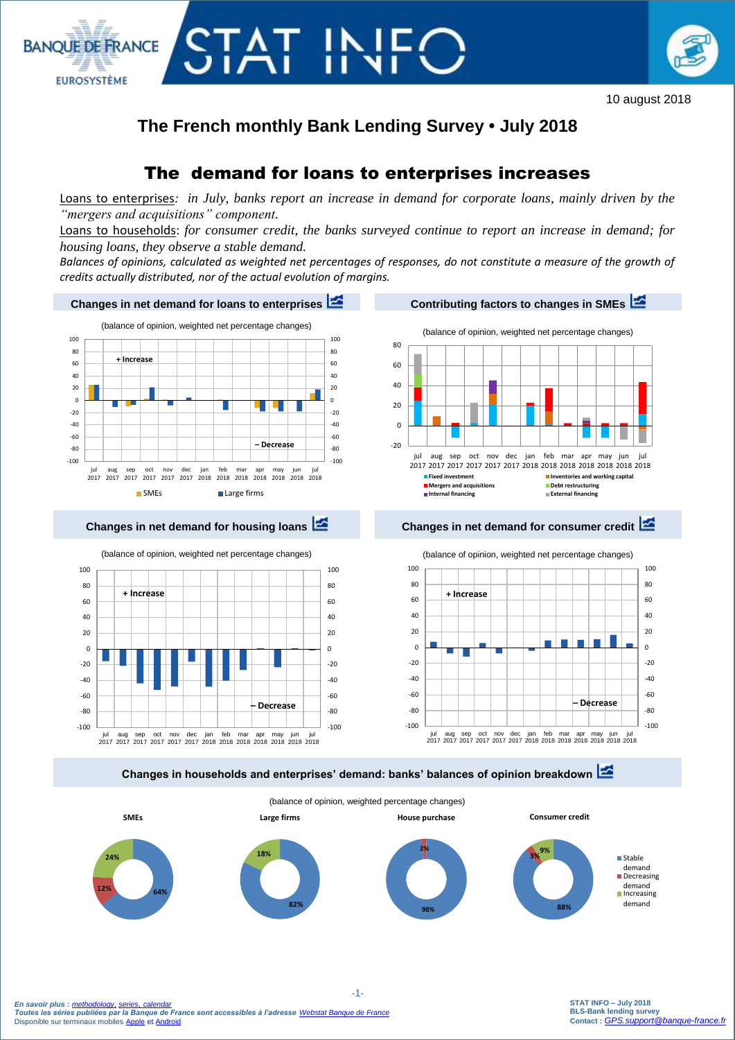

# **The French monthly Bank Lending Survey • July 2018**

TAT IN

**BANOUE DE FRANCE** 

**EUROSYSTÈME** 

## The demand for loans to enterprises increases

Loans to enterprises*: in July, banks report an increase in demand for corporate loans, mainly driven by the "mergers and acquisitions" component.*

Loans to households: *for consumer credit, the banks surveyed continue to report an increase in demand; for housing loans, they observe a stable demand.*

*Balances of opinions, calculated as weighted net percentages of responses, do not constitute a measure of the growth of credits actually distributed, nor of the actual evolution of margins.*





jul aug sep oct nov dec jan feb mar apr may jun jul<br>2017 2017 2017 2017 2017 2017 2018 2018 2018 2018 2018 2018 2018

-100 -80 -60 -40 -20  $\Omega$ 20 40 60

**+ Increase**

**Changes in households and enterprises' demand: banks' balances of opinion breakdown** 



 -1-  *En savoir plus : [methodology](https://www.banque-france.fr/sites/default/files/media/2016/12/20/methodologie-bls.pdf), [series](http://webstat.banque-france.fr/en/browse.do?node=5384393)*, *[calendar](https://www.banque-france.fr/en/statistics/calendar) Toutes les séries publiées par la Banque de France sont accessibles à l'adresse [Webstat Banque de France](http://webstat.banque-france.fr/fr/home.do)* Disponible sur terminaux mobiles [Apple](https://itunes.apple.com/fr/app/banquefrance/id663817914?mt=8) e[t Android](https://play.google.com/store/apps/details?id=fr.bdf.mobile&feature=search_result#?t=W251bGwsMSwyLDEsImZyLmJkZi5tb2JpbGUiXQ)

-100 -80 -60 -40 -20  $\theta$ 20 40 60

**– Decrease**